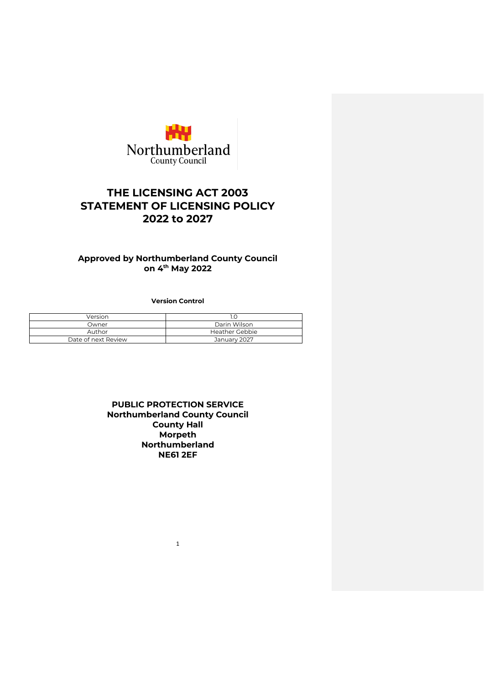

# **THE LICENSING ACT 2003 STATEMENT OF LICENSING POLICY 2022 to 2027**

# **Approved by Northumberland County Council on 4th May 2022**

**Version Control**

| Version             |                |  |
|---------------------|----------------|--|
| Owner               | Darin Wilson   |  |
| Author              | Heather Gebbie |  |
| Date of next Review | January 2027   |  |

# **PUBLIC PROTECTION SERVICE Northumberland County Council County Hall Morpeth Northumberland NE61 2EF**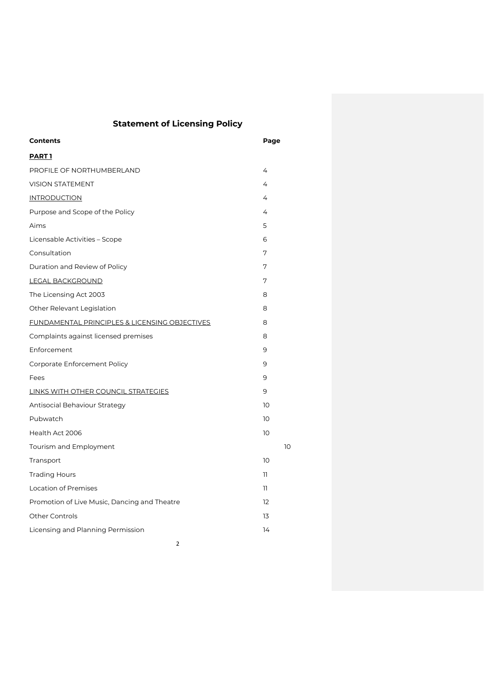# **Statement of Licensing Policy**

| <b>Contents</b>                               | Page |
|-----------------------------------------------|------|
| <b>PART1</b>                                  |      |
| PROFILE OF NORTHUMBERLAND                     | 4    |
| <b>VISION STATEMENT</b>                       | 4    |
| <b>INTRODUCTION</b>                           | 4    |
| Purpose and Scope of the Policy               | 4    |
| Aims                                          | 5    |
| Licensable Activities - Scope                 | 6    |
| Consultation                                  | 7    |
| Duration and Review of Policy                 | 7    |
| <b>LEGAL BACKGROUND</b>                       | 7    |
| The Licensing Act 2003                        | 8    |
| Other Relevant Legislation                    | 8    |
| FUNDAMENTAL PRINCIPLES & LICENSING OBJECTIVES | 8    |
| Complaints against licensed premises          | 8    |
| Enforcement                                   | 9    |
| Corporate Enforcement Policy                  | 9    |
| Fees                                          | 9    |
| <b>LINKS WITH OTHER COUNCIL STRATEGIES</b>    | 9    |
| Antisocial Behaviour Strategy                 | 10   |
| Pubwatch                                      | 10   |
| Health Act 2006                               | 10   |
| Tourism and Employment                        | 10   |
| Transport                                     | 10   |
| <b>Trading Hours</b>                          | 11   |
| Location of Premises                          | 11   |
| Promotion of Live Music, Dancing and Theatre  | 12   |
| <b>Other Controls</b>                         | 13   |
| Licensing and Planning Permission             | 14   |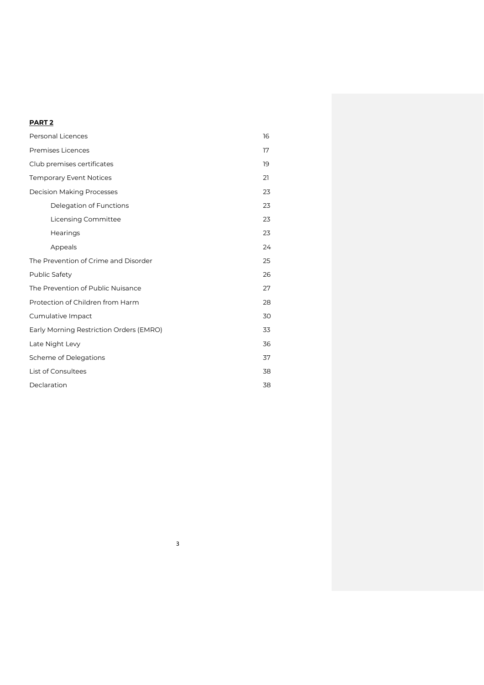# **PART 2**

| <b>Personal Licences</b>                | 16 |
|-----------------------------------------|----|
| <b>Premises Licences</b>                | 17 |
| Club premises certificates              | 19 |
| <b>Temporary Event Notices</b>          | 21 |
| <b>Decision Making Processes</b>        | 23 |
| Delegation of Functions                 | 23 |
| Licensing Committee                     | 23 |
| Hearings                                | 23 |
| Appeals                                 | 24 |
| The Prevention of Crime and Disorder    | 25 |
| Public Safety                           | 26 |
| The Prevention of Public Nuisance       | 27 |
| Protection of Children from Harm        | 28 |
| Cumulative Impact                       | 30 |
| Early Morning Restriction Orders (EMRO) | 33 |
| Late Night Levy                         | 36 |
| Scheme of Delegations                   | 37 |
| List of Consultees                      | 38 |
| Declaration                             | 38 |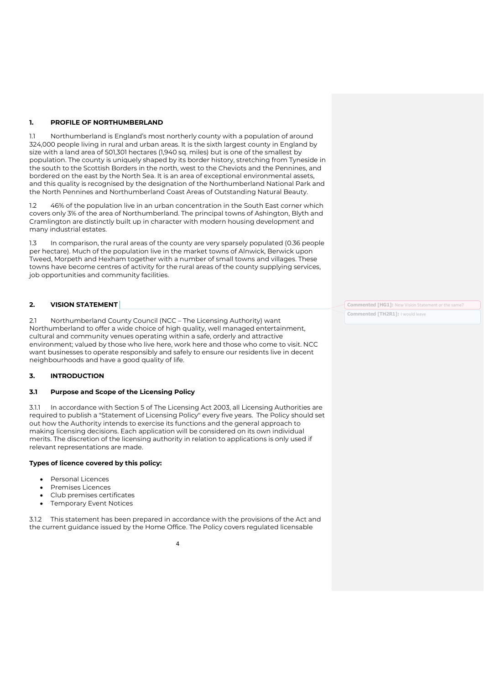# **1. PROFILE OF NORTHUMBERLAND**

1.1 Northumberland is England's most northerly county with a population of around 324,000 people living in rural and urban areas. It is the sixth largest county in England by size with a land area of 501,301 hectares (1,940 sq. miles) but is one of the smallest by population. The county is uniquely shaped by its border history, stretching from Tyneside in the south to the Scottish Borders in the north, west to the Cheviots and the Pennines, and bordered on the east by the North Sea. It is an area of exceptional environmental assets, and this quality is recognised by the designation of the Northumberland National Park and the North Pennines and Northumberland Coast Areas of Outstanding Natural Beauty.

1.2 46% of the population live in an urban concentration in the South East corner which covers only 3% of the area of Northumberland. The principal towns of Ashington, Blyth and Cramlington are distinctly built up in character with modern housing development and many industrial estates.

1.3 In comparison, the rural areas of the county are very sparsely populated (0.36 people per hectare). Much of the population live in the market towns of Alnwick, Berwick upon Tweed, Morpeth and Hexham together with a number of small towns and villages. These towns have become centres of activity for the rural areas of the county supplying services, job opportunities and community facilities.

# **2. VISION STATEMENT**

2.1 Northumberland County Council (NCC – The Licensing Authority) want Northumberland to offer a wide choice of high quality, well managed entertainment, cultural and community venues operating within a safe, orderly and attractive environment; valued by those who live here, work here and those who come to visit. NCC want businesses to operate responsibly and safely to ensure our residents live in decent neighbourhoods and have a good quality of life.

# **3. INTRODUCTION**

# **3.1 Purpose and Scope of the Licensing Policy**

3.1.1 In accordance with Section 5 of The Licensing Act 2003, all Licensing Authorities are required to publish a "Statement of Licensing Policy" every five years. The Policy should set out how the Authority intends to exercise its functions and the general approach to making licensing decisions. Each application will be considered on its own individual merits. The discretion of the licensing authority in relation to applications is only used if relevant representations are made.

#### **Types of licence covered by this policy:**

- Personal Licences
- Premises Licences
- Club premises certificates
- **Temporary Event Notices**

3.1.2 This statement has been prepared in accordance with the provisions of the Act and the current guidance issued by the Home Office. The Policy covers regulated licensable

4

**Commented [HG1]:** New Vision Statement or the same? **Commented [TH2R1]:** I would leave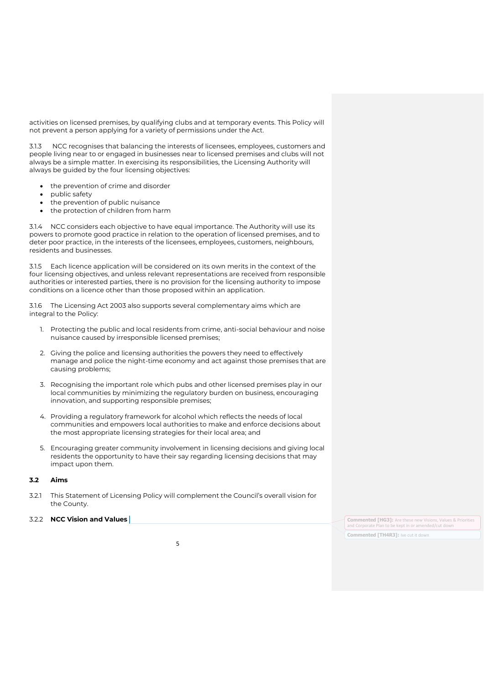activities on licensed premises, by qualifying clubs and at temporary events. This Policy will not prevent a person applying for a variety of permissions under the Act.

3.1.3 NCC recognises that balancing the interests of licensees, employees, customers and people living near to or engaged in businesses near to licensed premises and clubs will not always be a simple matter. In exercising its responsibilities, the Licensing Authority will always be guided by the four licensing objectives:

- the prevention of crime and disorder
- public safety
- the prevention of public nuisance
- the protection of children from harm

3.1.4 NCC considers each objective to have equal importance. The Authority will use its powers to promote good practice in relation to the operation of licensed premises, and to deter poor practice, in the interests of the licensees, employees, customers, neighbours, residents and businesses.

3.1.5 Each licence application will be considered on its own merits in the context of the four licensing objectives, and unless relevant representations are received from responsible authorities or interested parties, there is no provision for the licensing authority to impose conditions on a licence other than those proposed within an application.

3.1.6 The Licensing Act 2003 also supports several complementary aims which are integral to the Policy:

- 1. Protecting the public and local residents from crime, anti-social behaviour and noise nuisance caused by irresponsible licensed premises;
- 2. Giving the police and licensing authorities the powers they need to effectively manage and police the night-time economy and act against those premises that are causing problems;
- 3. Recognising the important role which pubs and other licensed premises play in our local communities by minimizing the regulatory burden on business, encouraging innovation, and supporting responsible premises;
- 4. Providing a regulatory framework for alcohol which reflects the needs of local communities and empowers local authorities to make and enforce decisions about the most appropriate licensing strategies for their local area; and
- 5. Encouraging greater community involvement in licensing decisions and giving local residents the opportunity to have their say regarding licensing decisions that may impact upon them.

# **3.2 Aims**

- 3.2.1 This Statement of Licensing Policy will complement the Council's overall vision for the County.
- 

**3.2.2 NCC Vision and Values** *Commented [HG3]: Are these new Visions, Values & Priorities* **<b>Commented [HG3]: Are these new Visions, Values & Priorities** and Corporate Plan to be kept in or amended/cut down **Commented [TH4R3]:** Ive cut it down

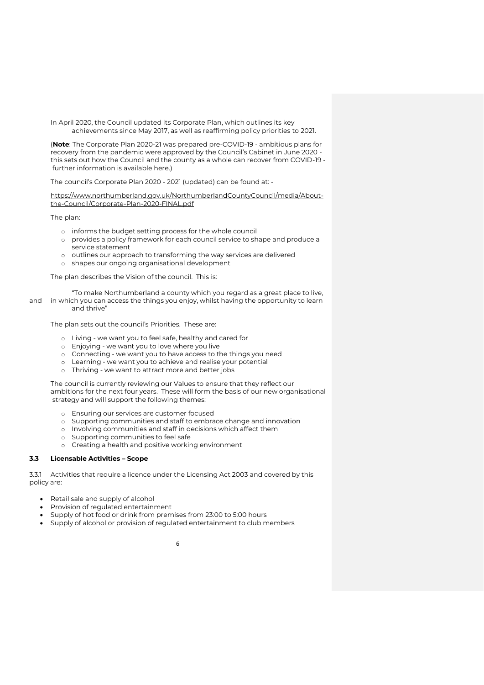In April 2020, the Council updated its Corporate Plan, which outlines its key achievements since May 2017, as well as reaffirming policy priorities to 2021.

(**Note**: The Corporate Plan 2020-21 was prepared pre-COVID-19 - ambitious plans for recovery from the pandemic were approved by the Council's Cabinet in June 2020 this sets out how the Council and the county as a whole can recover from COVID-19 further information is available here.)

The council's Corporate Plan 2020 - 2021 (updated) can be found at: -

[https://www.northumberland.gov.uk/NorthumberlandCountyCouncil/media/About](https://www.northumberland.gov.uk/NorthumberlandCountyCouncil/media/About-the-Council/Corporate-Plan-2020-FINAL.pdf)the-Council/Corporate-Plan-2020-FINAL.pdf

The plan:

- o informs the budget setting process for the whole council
- o provides a policy framework for each council service to shape and produce a service statement
- o outlines our approach to transforming the way services are delivered
- o shapes our ongoing organisational development

The plan describes the Vision of the council. This is:

"To make Northumberland a county which you regard as a great place to live, and in which you can access the things you enjoy, whilst having the opportunity to learn and thrive"

The plan sets out the council's Priorities. These are:

- o Living we want you to feel safe, healthy and cared for
- o Enjoying we want you to love where you live
- o Connecting we want you to have access to the things you need
- o Learning we want you to achieve and realise your potential
- o Thriving we want to attract more and better jobs

The council is currently reviewing our Values to ensure that they reflect our ambitions for the next four years. These will form the basis of our new organisational strategy and will support the following themes:

- o Ensuring our services are customer focused
- o Supporting communities and staff to embrace change and innovation
- o Involving communities and staff in decisions which affect them
- o Supporting communities to feel safe
- o Creating a health and positive working environment

#### **3.3 Licensable Activities – Scope**

3.3.1 Activities that require a licence under the Licensing Act 2003 and covered by this policy are:

- Retail sale and supply of alcohol
- Provision of regulated entertainment
- Supply of hot food or drink from premises from 23:00 to 5:00 hours
- Supply of alcohol or provision of regulated entertainment to club members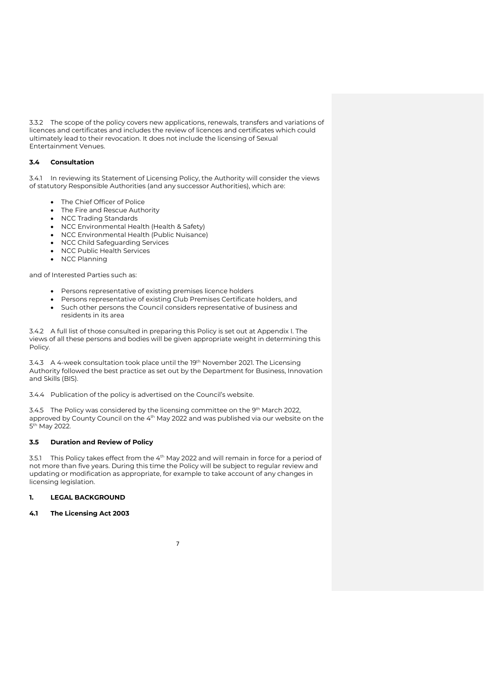3.3.2 The scope of the policy covers new applications, renewals, transfers and variations of licences and certificates and includes the review of licences and certificates which could ultimately lead to their revocation. It does not include the licensing of Sexual Entertainment Venues.

# **3.4 Consultation**

3.4.1 In reviewing its Statement of Licensing Policy, the Authority will consider the views of statutory Responsible Authorities (and any successor Authorities), which are:

- The Chief Officer of Police
- The Fire and Rescue Authority
- NCC Trading Standards
- NCC Environmental Health (Health & Safety)
- NCC Environmental Health (Public Nuisance)
- NCC Child Safeguarding Services
- NCC Public Health Services
- NCC Planning

and of Interested Parties such as:

- Persons representative of existing premises licence holders
- Persons representative of existing Club Premises Certificate holders, and
- Such other persons the Council considers representative of business and residents in its area

3.4.2 A full list of those consulted in preparing this Policy is set out at Appendix I. The views of all these persons and bodies will be given appropriate weight in determining this Policy.

3.4.3 A 4-week consultation took place until the 19th November 2021. The Licensing Authority followed the best practice as set out by the Department for Business, Innovation and Skills (BIS).

3.4.4 Publication of the policy is advertised on the Council's website.

3.4.5 The Policy was considered by the licensing committee on the 9th March 2022, approved by County Council on the 4<sup>th</sup> May 2022 and was published via our website on the 5<sup>th</sup> May 2022.

# **3.5 Duration and Review of Policy**

3.5.1 This Policy takes effect from the  $4<sup>th</sup>$  May 2022 and will remain in force for a period of not more than five years. During this time the Policy will be subject to regular review and updating or modification as appropriate, for example to take account of any changes in licensing legislation.

# **1. LEGAL BACKGROUND**

#### **4.1 The Licensing Act 2003**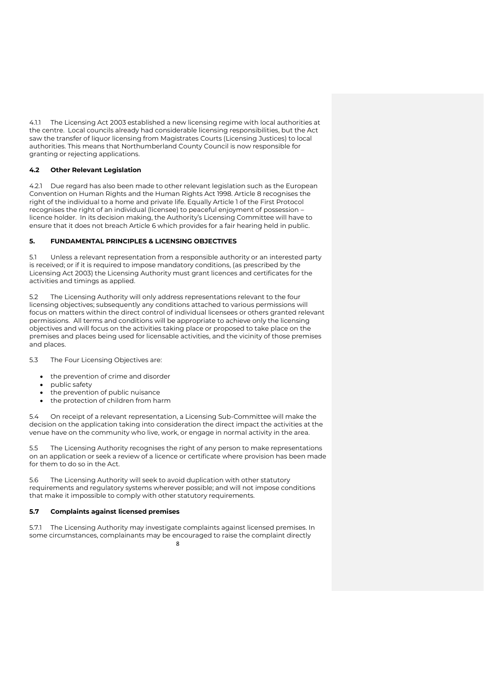4.1.1 The Licensing Act 2003 established a new licensing regime with local authorities at the centre. Local councils already had considerable licensing responsibilities, but the Act saw the transfer of liquor licensing from Magistrates Courts (Licensing Justices) to local authorities. This means that Northumberland County Council is now responsible for granting or rejecting applications.

# **4.2 Other Relevant Legislation**

4.2.1 Due regard has also been made to other relevant legislation such as the European Convention on Human Rights and the Human Rights Act 1998. Article 8 recognises the right of the individual to a home and private life. Equally Article 1 of the First Protocol recognises the right of an individual (licensee) to peaceful enjoyment of possession – licence holder. In its decision making, the Authority's Licensing Committee will have to ensure that it does not breach Article 6 which provides for a fair hearing held in public.

# **5. FUNDAMENTAL PRINCIPLES & LICENSING OBJECTIVES**

5.1 Unless a relevant representation from a responsible authority or an interested party is received; or if it is required to impose mandatory conditions, (as prescribed by the Licensing Act 2003) the Licensing Authority must grant licences and certificates for the activities and timings as applied.

5.2 The Licensing Authority will only address representations relevant to the four licensing objectives; subsequently any conditions attached to various permissions will focus on matters within the direct control of individual licensees or others granted relevant permissions. All terms and conditions will be appropriate to achieve only the licensing objectives and will focus on the activities taking place or proposed to take place on the premises and places being used for licensable activities, and the vicinity of those premises and places.

5.3 The Four Licensing Objectives are:

- the prevention of crime and disorder
- public safety
- the prevention of public nuisance
- the protection of children from harm

5.4 On receipt of a relevant representation, a Licensing Sub-Committee will make the decision on the application taking into consideration the direct impact the activities at the venue have on the community who live, work, or engage in normal activity in the area.

5.5 The Licensing Authority recognises the right of any person to make representations on an application or seek a review of a licence or certificate where provision has been made for them to do so in the Act.

5.6 The Licensing Authority will seek to avoid duplication with other statutory requirements and regulatory systems wherever possible; and will not impose conditions that make it impossible to comply with other statutory requirements.

# **5.7 Complaints against licensed premises**

5.7.1 The Licensing Authority may investigate complaints against licensed premises. In some circumstances, complainants may be encouraged to raise the complaint directly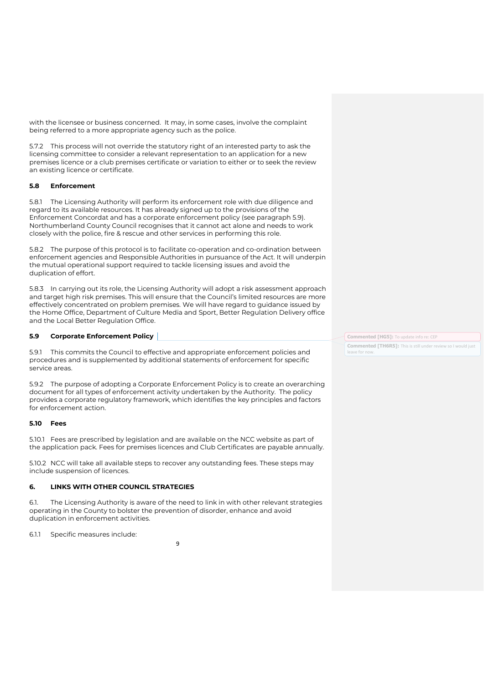with the licensee or business concerned. It may, in some cases, involve the complaint being referred to a more appropriate agency such as the police.

5.7.2 This process will not override the statutory right of an interested party to ask the licensing committee to consider a relevant representation to an application for a new premises licence or a club premises certificate or variation to either or to seek the review an existing licence or certificate.

# **5.8 Enforcement**

5.8.1 The Licensing Authority will perform its enforcement role with due diligence and regard to its available resources. It has already signed up to the provisions of the Enforcement Concordat and has a corporate enforcement policy (see paragraph 5.9). Northumberland County Council recognises that it cannot act alone and needs to work closely with the police, fire & rescue and other services in performing this role.

5.8.2 The purpose of this protocol is to facilitate co-operation and co-ordination between enforcement agencies and Responsible Authorities in pursuance of the Act. It will underpin the mutual operational support required to tackle licensing issues and avoid the duplication of effort.

5.8.3 In carrying out its role, the Licensing Authority will adopt a risk assessment approach and target high risk premises. This will ensure that the Council's limited resources are more effectively concentrated on problem premises. We will have regard to guidance issued by the Home Office, Department of Culture Media and Sport, Better Regulation Delivery office and the Local Better Regulation Office.

# **5.9 Corporate Enforcement Policy**

5.9.1 This commits the Council to effective and appropriate enforcement policies and procedures and is supplemented by additional statements of enforcement for specific service areas.

5.9.2 The purpose of adopting a Corporate Enforcement Policy is to create an overarching document for all types of enforcement activity undertaken by the Authority. The policy provides a corporate regulatory framework, which identifies the key principles and factors for enforcement action.

# **5.10 Fees**

5.10.1 Fees are prescribed by legislation and are available on the NCC website as part of the application pack. Fees for premises licences and Club Certificates are payable annually.

5.10.2 NCC will take all available steps to recover any outstanding fees. These steps may include suspension of licences.

# **6. LINKS WITH OTHER COUNCIL STRATEGIES**

6.1. The Licensing Authority is aware of the need to link in with other relevant strategies operating in the County to bolster the prevention of disorder, enhance and avoid duplication in enforcement activities.

9

6.1.1 Specific measures include:

**Commented [HG5]:** To update info re: CEP **Commented [TH6R5]:** This is still under review so I would just leave for now.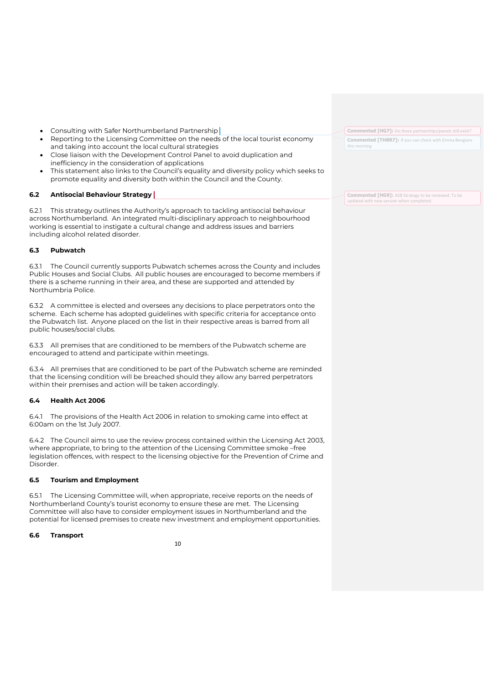- Consulting with Safer Northumberland Partnership
- Reporting to the Licensing Committee on the needs of the local tourist economy and taking into account the local cultural strategies
- Close liaison with the Development Control Panel to avoid duplication and inefficiency in the consideration of applications
- This statement also links to the Council's equality and diversity policy which seeks to promote equality and diversity both within the Council and the County.

# **6.2 Antisocial Behaviour Strategy**

6.2.1 This strategy outlines the Authority's approach to tackling antisocial behaviour across Northumberland. An integrated multi-disciplinary approach to neighbourhood working is essential to instigate a cultural change and address issues and barriers including alcohol related disorder.

# **6.3 Pubwatch**

6.3.1 The Council currently supports Pubwatch schemes across the County and includes Public Houses and Social Clubs. All public houses are encouraged to become members if there is a scheme running in their area, and these are supported and attended by Northumbria Police.

6.3.2 A committee is elected and oversees any decisions to place perpetrators onto the scheme. Each scheme has adopted guidelines with specific criteria for acceptance onto the Pubwatch list. Anyone placed on the list in their respective areas is barred from all public houses/social clubs.

6.3.3 All premises that are conditioned to be members of the Pubwatch scheme are encouraged to attend and participate within meetings.

6.3.4 All premises that are conditioned to be part of the Pubwatch scheme are reminded that the licensing condition will be breached should they allow any barred perpetrators within their premises and action will be taken accordingly.

#### **6.4 Health Act 2006**

6.4.1 The provisions of the Health Act 2006 in relation to smoking came into effect at 6:00am on the 1st July 2007.

6.4.2 The Council aims to use the review process contained within the Licensing Act 2003, where appropriate, to bring to the attention of the Licensing Committee smoke –free legislation offences, with respect to the licensing objective for the Prevention of Crime and Disorder.

#### **6.5 Tourism and Employment**

6.5.1 The Licensing Committee will, when appropriate, receive reports on the needs of Northumberland County's tourist economy to ensure these are met. The Licensing Committee will also have to consider employment issues in Northumberland and the potential for licensed premises to create new investment and employment opportunities.

#### **6.6 Transport**

10

**Commented [HG7]:** Do these partnerships/panels still exist? **Commented [TH8R7]:** If you can check with Emma Bengians this morning

**Commented [HG9]:** ASB Strategy to be reviewed. To be updated with new version when completed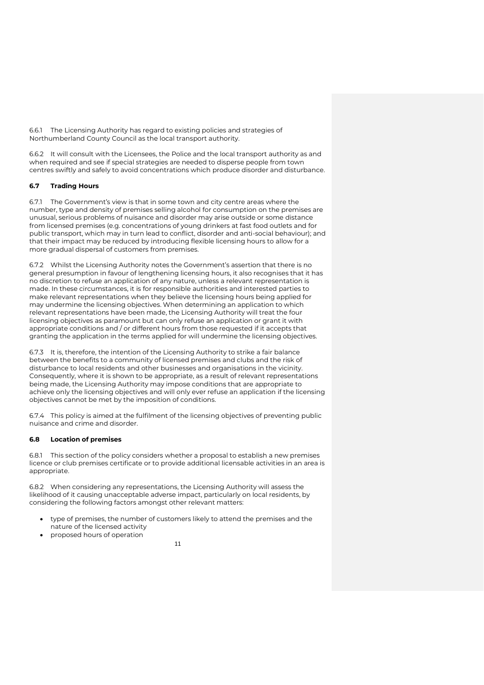6.6.1 The Licensing Authority has regard to existing policies and strategies of Northumberland County Council as the local transport authority.

6.6.2 It will consult with the Licensees, the Police and the local transport authority as and when required and see if special strategies are needed to disperse people from town centres swiftly and safely to avoid concentrations which produce disorder and disturbance.

# **6.7 Trading Hours**

6.7.1 The Government's view is that in some town and city centre areas where the number, type and density of premises selling alcohol for consumption on the premises are unusual, serious problems of nuisance and disorder may arise outside or some distance from licensed premises (e.g. concentrations of young drinkers at fast food outlets and for public transport, which may in turn lead to conflict, disorder and anti-social behaviour); and that their impact may be reduced by introducing flexible licensing hours to allow for a more gradual dispersal of customers from premises.

6.7.2 Whilst the Licensing Authority notes the Government's assertion that there is no general presumption in favour of lengthening licensing hours, it also recognises that it has no discretion to refuse an application of any nature, unless a relevant representation is made. In these circumstances, it is for responsible authorities and interested parties to make relevant representations when they believe the licensing hours being applied for may undermine the licensing objectives. When determining an application to which relevant representations have been made, the Licensing Authority will treat the four licensing objectives as paramount but can only refuse an application or grant it with appropriate conditions and / or different hours from those requested if it accepts that granting the application in the terms applied for will undermine the licensing objectives.

6.7.3 It is, therefore, the intention of the Licensing Authority to strike a fair balance between the benefits to a community of licensed premises and clubs and the risk of disturbance to local residents and other businesses and organisations in the vicinity. Consequently, where it is shown to be appropriate, as a result of relevant representations being made, the Licensing Authority may impose conditions that are appropriate to achieve only the licensing objectives and will only ever refuse an application if the licensing objectives cannot be met by the imposition of conditions.

6.7.4 This policy is aimed at the fulfilment of the licensing objectives of preventing public nuisance and crime and disorder.

# **6.8 Location of premises**

6.8.1 This section of the policy considers whether a proposal to establish a new premises licence or club premises certificate or to provide additional licensable activities in an area is appropriate.

6.8.2 When considering any representations, the Licensing Authority will assess the likelihood of it causing unacceptable adverse impact, particularly on local residents, by considering the following factors amongst other relevant matters:

- type of premises, the number of customers likely to attend the premises and the nature of the licensed activity
- proposed hours of operation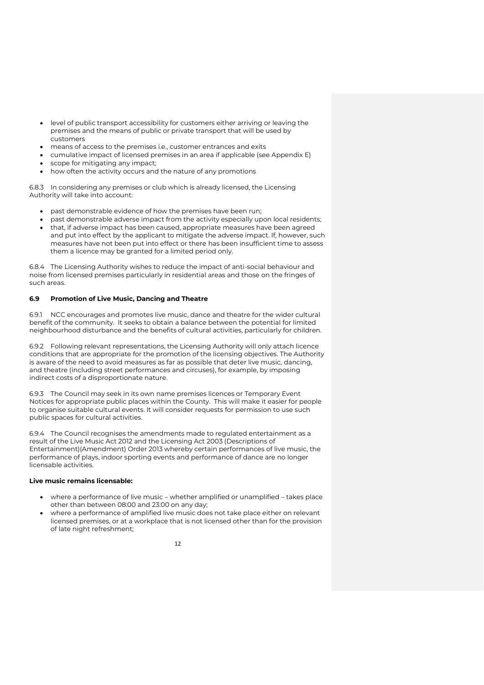- level of public transport accessibility for customers either arriving or leaving the premises and the means of public or private transport that will be used by customers
- means of access to the premises i.e., customer entrances and exits
- cumulative impact of licensed premises in an area if applicable (see Appendix E)
- scope for mitigating any impact;
- how often the activity occurs and the nature of any promotions

6.8.3 In considering any premises or club which is already licensed, the Licensing Authority will take into account:

- past demonstrable evidence of how the premises have been run;
- past demonstrable adverse impact from the activity especially upon local residents;
- that, if adverse impact has been caused, appropriate measures have been agreed and put into effect by the applicant to mitigate the adverse impact. If, however, such measures have not been put into effect or there has been insufficient time to assess them a licence may be granted for a limited period only.

6.8.4 The Licensing Authority wishes to reduce the impact of anti-social behaviour and noise from licensed premises particularly in residential areas and those on the fringes of such areas.

# **6.9 Promotion of Live Music, Dancing and Theatre**

6.9.1 NCC encourages and promotes live music, dance and theatre for the wider cultural benefit of the community. It seeks to obtain a balance between the potential for limited neighbourhood disturbance and the benefits of cultural activities, particularly for children.

6.9.2 Following relevant representations, the Licensing Authority will only attach licence conditions that are appropriate for the promotion of the licensing objectives. The Authority is aware of the need to avoid measures as far as possible that deter live music, dancing, and theatre (including street performances and circuses), for example, by imposing indirect costs of a disproportionate nature.

6.9.3 The Council may seek in its own name premises licences or Temporary Event Notices for appropriate public places within the County. This will make it easier for people to organise suitable cultural events. It will consider requests for permission to use such public spaces for cultural activities.

6.9.4 The Council recognises the amendments made to regulated entertainment as a result of the Live Music Act 2012 and the Licensing Act 2003 (Descriptions of Entertainment)(Amendment) Order 2013 whereby certain performances of live music, the performance of plays, indoor sporting events and performance of dance are no longer licensable activities.

## **Live music remains licensable:**

- where a performance of live music whether amplified or unamplified takes place other than between 08:00 and 23:00 on any day;
- where a performance of amplified live music does not take place either on relevant licensed premises, or at a workplace that is not licensed other than for the provision of late night refreshment;

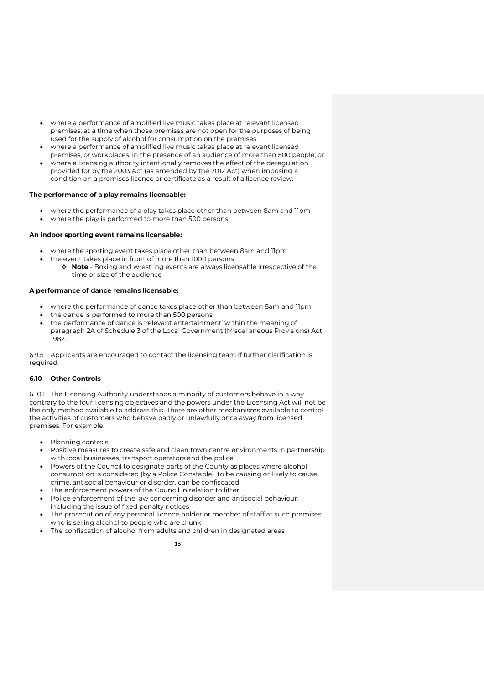- where a performance of amplified live music takes place at relevant licensed premises, at a time when those premises are not open for the purposes of being used for the supply of alcohol for consumption on the premises;
- where a performance of amplified live music takes place at relevant licensed premises, or workplaces, in the presence of an audience of more than 500 people; or
- where a licensing authority intentionally removes the effect of the deregulation provided for by the 2003 Act (as amended by the 2012 Act) when imposing a condition on a premises licence or certificate as a result of a licence review.

# **The performance of a play remains licensable:**

- where the performance of a play takes place other than between 8am and 11pm
- where the play is performed to more than 500 persons

# **An indoor sporting event remains licensable:**

- where the sporting event takes place other than between 8am and 11pm
	- the event takes place in front of more than 1000 persons ❖ **Note** - Boxing and wrestling events are always licensable irrespective of the time or size of the audience

# **A performance of dance remains licensable:**

- where the performance of dance takes place other than between 8am and 11pm
- the dance is performed to more than 500 persons
- the performance of dance is 'relevant entertainment' within the meaning of paragraph 2A of Schedule 3 of the Local Government (Miscellaneous Provisions) Act 1982.

6.9.5 Applicants are encouraged to contact the licensing team if further clarification is required.

# **6.10 Other Controls**

6.10.1 The Licensing Authority understands a minority of customers behave in a way contrary to the four licensing objectives and the powers under the Licensing Act will not be the only method available to address this. There are other mechanisms available to control the activities of customers who behave badly or unlawfully once away from licensed premises. For example:

- Planning controls
- Positive measures to create safe and clean town centre environments in partnership with local businesses, transport operators and the police
- Powers of the Council to designate parts of the County as places where alcohol consumption is considered (by a Police Constable), to be causing or likely to cause crime, antisocial behaviour or disorder, can be confiscated
- The enforcement powers of the Council in relation to litter
- Police enforcement of the law concerning disorder and antisocial behaviour, including the issue of fixed penalty notices
- The prosecution of any personal licence holder or member of staff at such premises who is selling alcohol to people who are drunk
- The confiscation of alcohol from adults and children in designated areas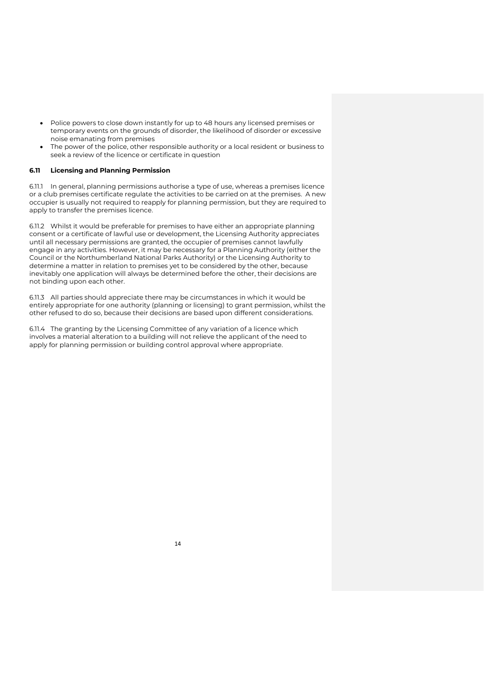- Police powers to close down instantly for up to 48 hours any licensed premises or temporary events on the grounds of disorder, the likelihood of disorder or excessive noise emanating from premises
- The power of the police, other responsible authority or a local resident or business to seek a review of the licence or certificate in question

#### **6.11 Licensing and Planning Permission**

6.11.1 In general, planning permissions authorise a type of use, whereas a premises licence or a club premises certificate regulate the activities to be carried on at the premises. A new occupier is usually not required to reapply for planning permission, but they are required to apply to transfer the premises licence.

6.11.2 Whilst it would be preferable for premises to have either an appropriate planning consent or a certificate of lawful use or development, the Licensing Authority appreciates until all necessary permissions are granted, the occupier of premises cannot lawfully engage in any activities. However, it may be necessary for a Planning Authority (either the Council or the Northumberland National Parks Authority) or the Licensing Authority to determine a matter in relation to premises yet to be considered by the other, because inevitably one application will always be determined before the other, their decisions are not binding upon each other.

6.11.3 All parties should appreciate there may be circumstances in which it would be entirely appropriate for one authority (planning or licensing) to grant permission, whilst the other refused to do so, because their decisions are based upon different considerations.

6.11.4 The granting by the Licensing Committee of any variation of a licence which involves a material alteration to a building will not relieve the applicant of the need to apply for planning permission or building control approval where appropriate.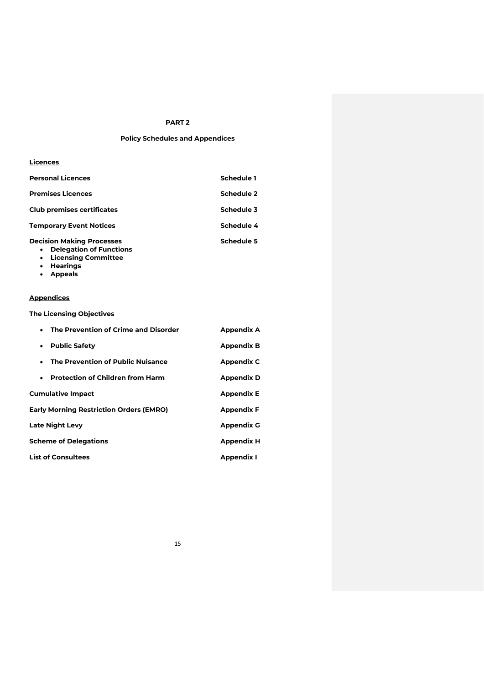# **PART 2**

# **Policy Schedules and Appendices**

#### **Licences**

| <b>Personal Licences</b>          | Schedule 1 |
|-----------------------------------|------------|
| <b>Premises Licences</b>          | Schedule 2 |
| <b>Club premises certificates</b> | Schedule 3 |
| <b>Temporary Event Notices</b>    | Schedule 4 |
| <b>Decision Making Processes</b>  | Schedule 5 |

#### • **Delegation of Functions**

- **Licensing Committee**
- **Hearings**
- **Appeals**

# **Appendices**

**The Licensing Objectives**

| The Prevention of Crime and Disorder<br>$\bullet$    | <b>Appendix A</b> |
|------------------------------------------------------|-------------------|
| <b>Public Safety</b><br>$\bullet$                    | <b>Appendix B</b> |
| The Prevention of Public Nuisance<br>٠               | <b>Appendix C</b> |
| <b>Protection of Children from Harm</b><br>$\bullet$ | <b>Appendix D</b> |
| <b>Cumulative Impact</b>                             | <b>Appendix E</b> |
| <b>Early Morning Restriction Orders (EMRO)</b>       | <b>Appendix F</b> |
| <b>Late Night Levy</b>                               | <b>Appendix G</b> |
| <b>Scheme of Delegations</b>                         | <b>Appendix H</b> |
| List of Consultees                                   | <b>Appendix I</b> |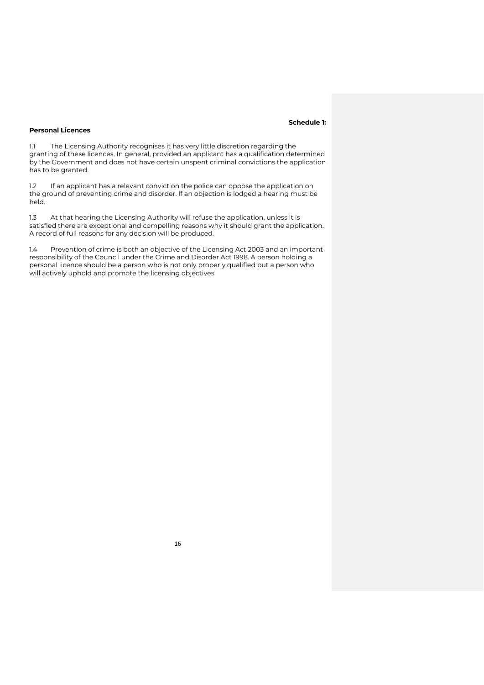# **Schedule 1:**

# **Personal Licences**

1.1 The Licensing Authority recognises it has very little discretion regarding the granting of these licences. In general, provided an applicant has a qualification determined by the Government and does not have certain unspent criminal convictions the application has to be granted.

1.2 If an applicant has a relevant conviction the police can oppose the application on the ground of preventing crime and disorder. If an objection is lodged a hearing must be held.

1.3 At that hearing the Licensing Authority will refuse the application, unless it is satisfied there are exceptional and compelling reasons why it should grant the application. A record of full reasons for any decision will be produced.

1.4 Prevention of crime is both an objective of the Licensing Act 2003 and an important responsibility of the Council under the Crime and Disorder Act 1998. A person holding a personal licence should be a person who is not only properly qualified but a person who will actively uphold and promote the licensing objectives.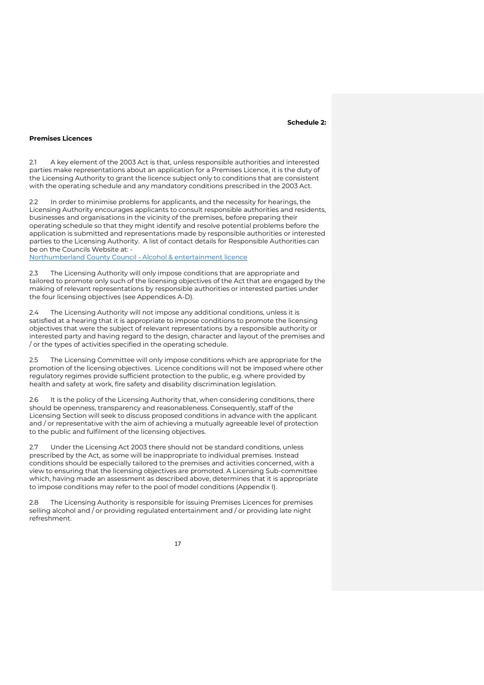#### **Schedule 2:**

#### **Premises Licences**

2.1 A key element of the 2003 Act is that, unless responsible authorities and interested parties make representations about an application for a Premises Licence, it is the duty of the Licensing Authority to grant the licence subject only to conditions that are consistent with the operating schedule and any mandatory conditions prescribed in the 2003 Act.

2.2 In order to minimise problems for applicants, and the necessity for hearings, the Licensing Authority encourages applicants to consult responsible authorities and residents, businesses and organisations in the vicinity of the premises, before preparing their operating schedule so that they might identify and resolve potential problems before the application is submitted and representations made by responsible authorities or interested parties to the Licensing Authority. A list of contact details for Responsible Authorities can be on the Councils Website at: -

[Northumberland County Council -](https://www.northumberland.gov.uk/Business/Licences/Alcohol-entertainment.aspx#responsibleauthorities) Alcohol & entertainment licence

2.3 The Licensing Authority will only impose conditions that are appropriate and tailored to promote only such of the licensing objectives of the Act that are engaged by the making of relevant representations by responsible authorities or interested parties under the four licensing objectives (see Appendices A-D).

2.4 The Licensing Authority will not impose any additional conditions, unless it is satisfied at a hearing that it is appropriate to impose conditions to promote the licensing objectives that were the subject of relevant representations by a responsible authority or interested party and having regard to the design, character and layout of the premises and / or the types of activities specified in the operating schedule.

2.5 The Licensing Committee will only impose conditions which are appropriate for the promotion of the licensing objectives. Licence conditions will not be imposed where other regulatory regimes provide sufficient protection to the public, e.g. where provided by health and safety at work, fire safety and disability discrimination legislation.

It is the policy of the Licensing Authority that, when considering conditions, there should be openness, transparency and reasonableness. Consequently, staff of the Licensing Section will seek to discuss proposed conditions in advance with the applicant and / or representative with the aim of achieving a mutually agreeable level of protection to the public and fulfilment of the licensing objectives.

2.7 Under the Licensing Act 2003 there should not be standard conditions, unless prescribed by the Act, as some will be inappropriate to individual premises. Instead conditions should be especially tailored to the premises and activities concerned, with a view to ensuring that the licensing objectives are promoted. A Licensing Sub-committee which, having made an assessment as described above, determines that it is appropriate to impose conditions may refer to the pool of model conditions (Appendix I).

2.8 The Licensing Authority is responsible for issuing Premises Licences for premises selling alcohol and / or providing regulated entertainment and / or providing late night refreshment.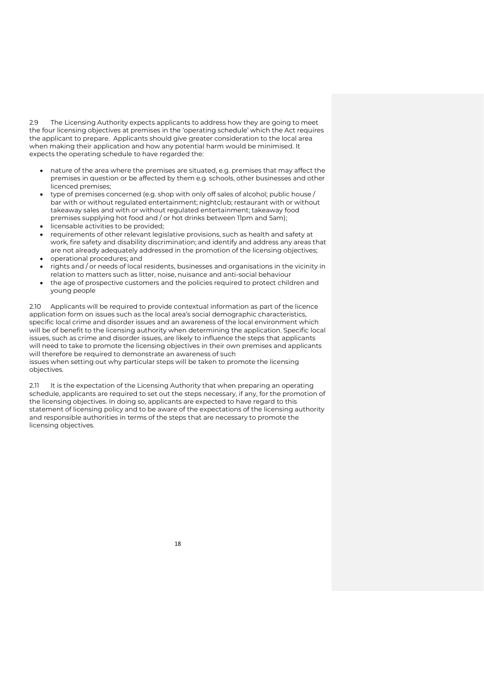2.9 The Licensing Authority expects applicants to address how they are going to meet the four licensing objectives at premises in the 'operating schedule' which the Act requires the applicant to prepare. Applicants should give greater consideration to the local area when making their application and how any potential harm would be minimised. It expects the operating schedule to have regarded the:

- nature of the area where the premises are situated, e.g. premises that may affect the premises in question or be affected by them e.g. schools, other businesses and other licenced premises;
- type of premises concerned (e.g. shop with only off sales of alcohol; public house / bar with or without regulated entertainment; nightclub; restaurant with or without takeaway sales and with or without regulated entertainment; takeaway food premises supplying hot food and / or hot drinks between 11pm and 5am);
- licensable activities to be provided;
- requirements of other relevant legislative provisions, such as health and safety at work, fire safety and disability discrimination; and identify and address any areas that are not already adequately addressed in the promotion of the licensing objectives;
- operational procedures; and
- rights and / or needs of local residents, businesses and organisations in the vicinity in relation to matters such as litter, noise, nuisance and anti-social behaviour
- the age of prospective customers and the policies required to protect children and young people

2.10 Applicants will be required to provide contextual information as part of the licence application form on issues such as the local area's social demographic characteristics, specific local crime and disorder issues and an awareness of the local environment which will be of benefit to the licensing authority when determining the application. Specific local issues, such as crime and disorder issues, are likely to influence the steps that applicants will need to take to promote the licensing objectives in their own premises and applicants will therefore be required to demonstrate an awareness of such issues when setting out why particular steps will be taken to promote the licensing objectives.

2.11 It is the expectation of the Licensing Authority that when preparing an operating schedule, applicants are required to set out the steps necessary, if any, for the promotion of the licensing objectives. In doing so, applicants are expected to have regard to this statement of licensing policy and to be aware of the expectations of the licensing authority and responsible authorities in terms of the steps that are necessary to promote the licensing objectives.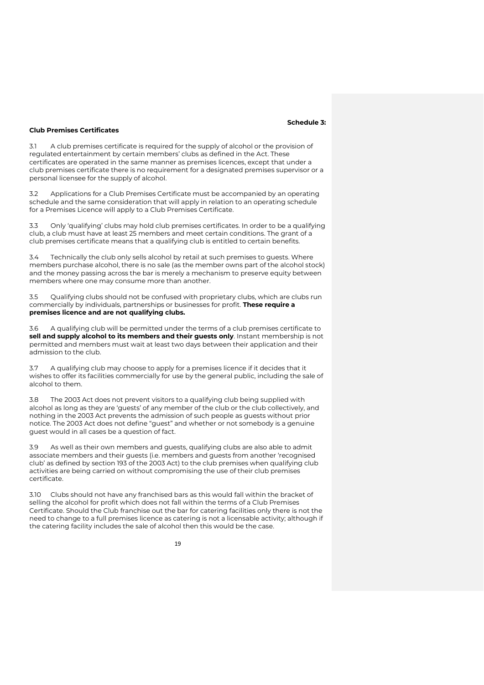#### **Schedule 3:**

#### **Club Premises Certificates**

3.1 A club premises certificate is required for the supply of alcohol or the provision of regulated entertainment by certain members' clubs as defined in the Act. These certificates are operated in the same manner as premises licences, except that under a club premises certificate there is no requirement for a designated premises supervisor or a personal licensee for the supply of alcohol.

3.2 Applications for a Club Premises Certificate must be accompanied by an operating schedule and the same consideration that will apply in relation to an operating schedule for a Premises Licence will apply to a Club Premises Certificate.

3.3 Only 'qualifying' clubs may hold club premises certificates. In order to be a qualifying club, a club must have at least 25 members and meet certain conditions. The grant of a club premises certificate means that a qualifying club is entitled to certain benefits.

3.4 Technically the club only sells alcohol by retail at such premises to guests. Where members purchase alcohol, there is no sale (as the member owns part of the alcohol stock) and the money passing across the bar is merely a mechanism to preserve equity between members where one may consume more than another.

3.5 Qualifying clubs should not be confused with proprietary clubs, which are clubs run commercially by individuals, partnerships or businesses for profit. **These require a premises licence and are not qualifying clubs.**

3.6 A qualifying club will be permitted under the terms of a club premises certificate to **sell and supply alcohol to its members and their guests only**. Instant membership is not permitted and members must wait at least two days between their application and their admission to the club.

3.7 A qualifying club may choose to apply for a premises licence if it decides that it wishes to offer its facilities commercially for use by the general public, including the sale of alcohol to them.

The 2003 Act does not prevent visitors to a qualifying club being supplied with alcohol as long as they are 'guests' of any member of the club or the club collectively, and nothing in the 2003 Act prevents the admission of such people as guests without prior notice. The 2003 Act does not define "guest" and whether or not somebody is a genuine guest would in all cases be a question of fact.

As well as their own members and guests, qualifying clubs are also able to admit associate members and their guests (i.e. members and guests from another 'recognised club' as defined by section 193 of the 2003 Act) to the club premises when qualifying club activities are being carried on without compromising the use of their club premises certificate.

3.10 Clubs should not have any franchised bars as this would fall within the bracket of selling the alcohol for profit which does not fall within the terms of a Club Premises Certificate. Should the Club franchise out the bar for catering facilities only there is not the need to change to a full premises licence as catering is not a licensable activity; although if the catering facility includes the sale of alcohol then this would be the case.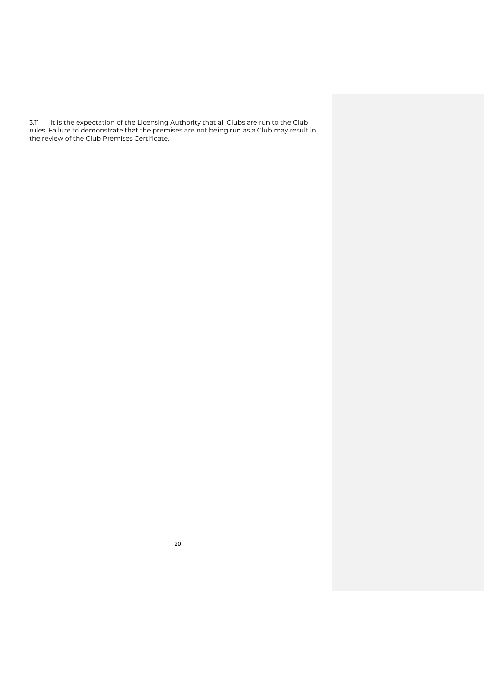3.11 It is the expectation of the Licensing Authority that all Clubs are run to the Club rules. Failure to demonstrate that the premises are not being run as a Club may result in the review of the Club Premises Certificate.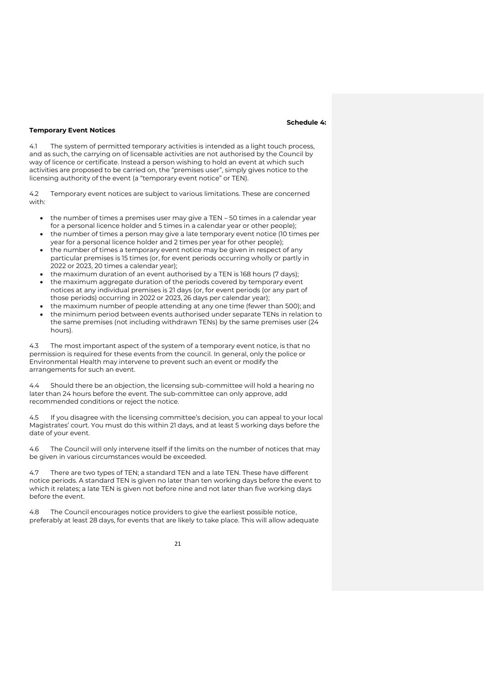#### **Schedule 4:**

#### **Temporary Event Notices**

4.1 The system of permitted temporary activities is intended as a light touch process, and as such, the carrying on of licensable activities are not authorised by the Council by way of licence or certificate. Instead a person wishing to hold an event at which such activities are proposed to be carried on, the "premises user", simply gives notice to the licensing authority of the event (a "temporary event notice" or TEN).

4.2 Temporary event notices are subject to various limitations. These are concerned with:

- the number of times a premises user may give a TEN 50 times in a calendar year for a personal licence holder and 5 times in a calendar year or other people);
- the number of times a person may give a late temporary event notice (10 times per year for a personal licence holder and 2 times per year for other people);
- the number of times a temporary event notice may be given in respect of any particular premises is 15 times (or, for event periods occurring wholly or partly in 2022 or 2023, 20 times a calendar year);
- the maximum duration of an event authorised by a TEN is 168 hours (7 days);
- the maximum aggregate duration of the periods covered by temporary event notices at any individual premises is 21 days (or, for event periods (or any part of those periods) occurring in 2022 or 2023, 26 days per calendar year);
- the maximum number of people attending at any one time (fewer than 500); and • the minimum period between events authorised under separate TENs in relation to the same premises (not including withdrawn TENs) by the same premises user (24 hours).

4.3 The most important aspect of the system of a temporary event notice, is that no permission is required for these events from the council. In general, only the police or Environmental Health may intervene to prevent such an event or modify the arrangements for such an event.

4.4 Should there be an objection, the licensing sub-committee will hold a hearing no later than 24 hours before the event. The sub-committee can only approve, add recommended conditions or reject the notice.

4.5 If you disagree with the licensing committee's decision, you can appeal to your local Magistrates' court. You must do this within 21 days, and at least 5 working days before the date of your event.

4.6 The Council will only intervene itself if the limits on the number of notices that may be given in various circumstances would be exceeded.

4.7 There are two types of TEN; a standard TEN and a late TEN. These have different notice periods. A standard TEN is given no later than ten working days before the event to which it relates; a late TEN is given not before nine and not later than five working days before the event.

4.8 The Council encourages notice providers to give the earliest possible notice, preferably at least 28 days, for events that are likely to take place. This will allow adequate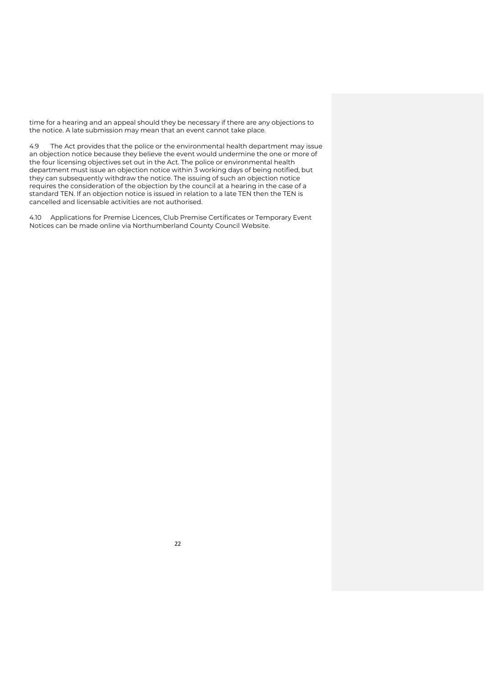time for a hearing and an appeal should they be necessary if there are any objections to the notice. A late submission may mean that an event cannot take place.

4.9 The Act provides that the police or the environmental health department may issue an objection notice because they believe the event would undermine the one or more of the four licensing objectives set out in the Act. The police or environmental health department must issue an objection notice within 3 working days of being notified, but they can subsequently withdraw the notice. The issuing of such an objection notice requires the consideration of the objection by the council at a hearing in the case of a standard TEN. If an objection notice is issued in relation to a late TEN then the TEN is cancelled and licensable activities are not authorised.

4.10 Applications for Premise Licences, Club Premise Certificates or Temporary Event Notices can be made online via Northumberland County Council Website.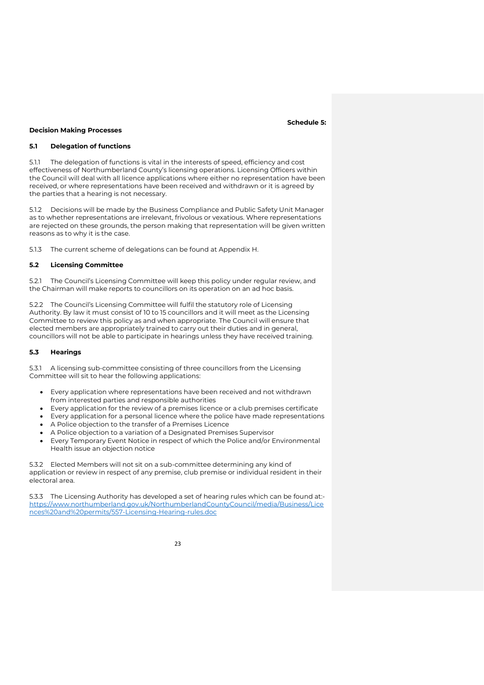#### **Schedule 5:**

#### **Decision Making Processes**

# **5.1 Delegation of functions**

5.1.1 The delegation of functions is vital in the interests of speed, efficiency and cost effectiveness of Northumberland County's licensing operations. Licensing Officers within the Council will deal with all licence applications where either no representation have been received, or where representations have been received and withdrawn or it is agreed by the parties that a hearing is not necessary.

5.1.2 Decisions will be made by the Business Compliance and Public Safety Unit Manager as to whether representations are irrelevant, frivolous or vexatious. Where representations are rejected on these grounds, the person making that representation will be given written reasons as to why it is the case.

5.1.3 The current scheme of delegations can be found at Appendix H.

# **5.2 Licensing Committee**

5.2.1 The Council's Licensing Committee will keep this policy under regular review, and the Chairman will make reports to councillors on its operation on an ad hoc basis.

5.2.2 The Council's Licensing Committee will fulfil the statutory role of Licensing Authority. By law it must consist of 10 to 15 councillors and it will meet as the Licensing Committee to review this policy as and when appropriate. The Council will ensure that elected members are appropriately trained to carry out their duties and in general, councillors will not be able to participate in hearings unless they have received training.

### **5.3 Hearings**

5.3.1 A licensing sub-committee consisting of three councillors from the Licensing Committee will sit to hear the following applications:

- Every application where representations have been received and not withdrawn from interested parties and responsible authorities
- Every application for the review of a premises licence or a club premises certificate
- Every application for a personal licence where the police have made representations • A Police objection to the transfer of a Premises Licence
- A Police objection to a variation of a Designated Premises Supervisor
- Every Temporary Event Notice in respect of which the Police and/or Environmental Health issue an objection notice

5.3.2 Elected Members will not sit on a sub-committee determining any kind of application or review in respect of any premise, club premise or individual resident in their electoral area.

5.3.3 The Licensing Authority has developed a set of hearing rules which can be found at: [https://www.northumberland.gov.uk/NorthumberlandCountyCouncil/media/Business/Lice](https://www.northumberland.gov.uk/NorthumberlandCountyCouncil/media/Business/Licences%20and%20permits/557-Licensing-Hearing-rules.doc) [nces%20and%20permits/557-Licensing-Hearing-rules.doc](https://www.northumberland.gov.uk/NorthumberlandCountyCouncil/media/Business/Licences%20and%20permits/557-Licensing-Hearing-rules.doc)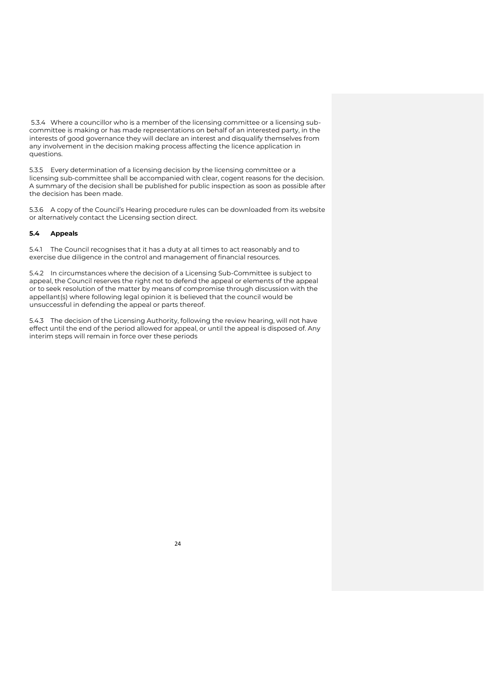5.3.4 Where a councillor who is a member of the licensing committee or a licensing subcommittee is making or has made representations on behalf of an interested party, in the interests of good governance they will declare an interest and disqualify themselves from any involvement in the decision making process affecting the licence application in questions.

5.3.5 Every determination of a licensing decision by the licensing committee or a licensing sub-committee shall be accompanied with clear, cogent reasons for the decision. A summary of the decision shall be published for public inspection as soon as possible after the decision has been made.

5.3.6 A copy of the Council's Hearing procedure rules can be downloaded from its website or alternatively contact the Licensing section direct.

# **5.4 Appeals**

5.4.1 The Council recognises that it has a duty at all times to act reasonably and to exercise due diligence in the control and management of financial resources.

5.4.2 In circumstances where the decision of a Licensing Sub-Committee is subject to appeal, the Council reserves the right not to defend the appeal or elements of the appeal or to seek resolution of the matter by means of compromise through discussion with the appellant(s) where following legal opinion it is believed that the council would be unsuccessful in defending the appeal or parts thereof.

5.4.3 The decision of the Licensing Authority, following the review hearing, will not have effect until the end of the period allowed for appeal, or until the appeal is disposed of. Any interim steps will remain in force over these periods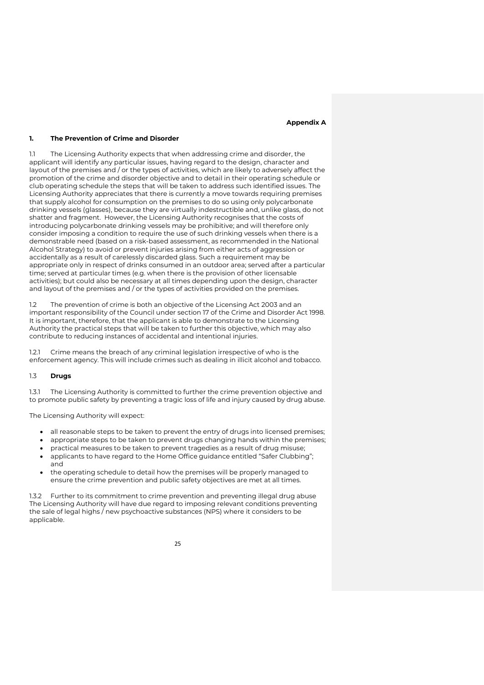#### **Appendix A**

# **1. The Prevention of Crime and Disorder**

1.1 The Licensing Authority expects that when addressing crime and disorder, the applicant will identify any particular issues, having regard to the design, character and layout of the premises and / or the types of activities, which are likely to adversely affect the promotion of the crime and disorder objective and to detail in their operating schedule or club operating schedule the steps that will be taken to address such identified issues. The Licensing Authority appreciates that there is currently a move towards requiring premises that supply alcohol for consumption on the premises to do so using only polycarbonate drinking vessels (glasses), because they are virtually indestructible and, unlike glass, do not shatter and fragment. However, the Licensing Authority recognises that the costs of introducing polycarbonate drinking vessels may be prohibitive; and will therefore only consider imposing a condition to require the use of such drinking vessels when there is a demonstrable need (based on a risk-based assessment, as recommended in the National Alcohol Strategy) to avoid or prevent injuries arising from either acts of aggression or accidentally as a result of carelessly discarded glass. Such a requirement may be appropriate only in respect of drinks consumed in an outdoor area; served after a particular time; served at particular times (e.g. when there is the provision of other licensable activities); but could also be necessary at all times depending upon the design, character and layout of the premises and / or the types of activities provided on the premises.

1.2 The prevention of crime is both an objective of the Licensing Act 2003 and an important responsibility of the Council under section 17 of the Crime and Disorder Act 1998. It is important, therefore, that the applicant is able to demonstrate to the Licensing Authority the practical steps that will be taken to further this objective, which may also contribute to reducing instances of accidental and intentional injuries.

1.2.1 Crime means the breach of any criminal legislation irrespective of who is the enforcement agency. This will include crimes such as dealing in illicit alcohol and tobacco.

#### 1.3 **Drugs**

1.3.1 The Licensing Authority is committed to further the crime prevention objective and to promote public safety by preventing a tragic loss of life and injury caused by drug abuse.

The Licensing Authority will expect:

- all reasonable steps to be taken to prevent the entry of drugs into licensed premises;
- appropriate steps to be taken to prevent drugs changing hands within the premises;
- practical measures to be taken to prevent tragedies as a result of drug misuse;
- applicants to have regard to the Home Office guidance entitled "Safer Clubbing"; and
- the operating schedule to detail how the premises will be properly managed to ensure the crime prevention and public safety objectives are met at all times.

1.3.2 Further to its commitment to crime prevention and preventing illegal drug abuse The Licensing Authority will have due regard to imposing relevant conditions preventing the sale of legal highs / new psychoactive substances (NPS) where it considers to be applicable.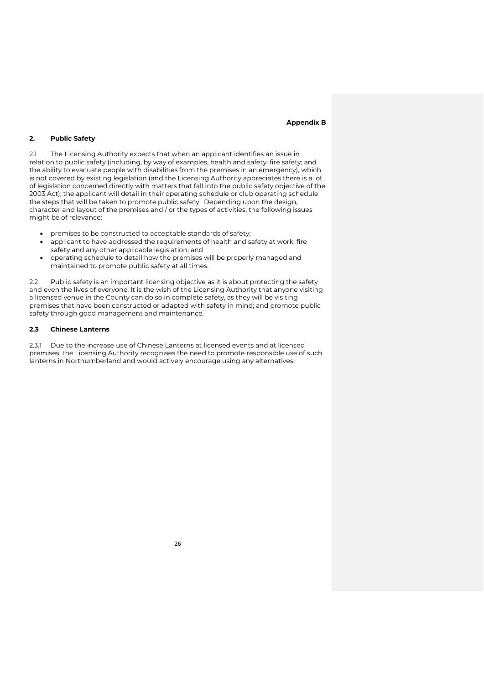#### **Appendix B**

# **2. Public Safety**

2.1 The Licensing Authority expects that when an applicant identifies an issue in relation to public safety (including, by way of examples, health and safety; fire safety; and the ability to evacuate people with disabilities from the premises in an emergency), which is not covered by existing legislation (and the Licensing Authority appreciates there is a lot of legislation concerned directly with matters that fall into the public safety objective of the 2003 Act), the applicant will detail in their operating schedule or club operating schedule the steps that will be taken to promote public safety. Depending upon the design, character and layout of the premises and / or the types of activities, the following issues might be of relevance:

- premises to be constructed to acceptable standards of safety;
- applicant to have addressed the requirements of health and safety at work, fire safety and any other applicable legislation; and
- operating schedule to detail how the premises will be properly managed and maintained to promote public safety at all times.

2.2 Public safety is an important licensing objective as it is about protecting the safety and even the lives of everyone. It is the wish of the Licensing Authority that anyone visiting a licensed venue in the County can do so in complete safety, as they will be visiting premises that have been constructed or adapted with safety in mind; and promote public safety through good management and maintenance.

# **2.3 Chinese Lanterns**

2.3.1 Due to the increase use of Chinese Lanterns at licensed events and at licensed premises, the Licensing Authority recognises the need to promote responsible use of such lanterns in Northumberland and would actively encourage using any alternatives.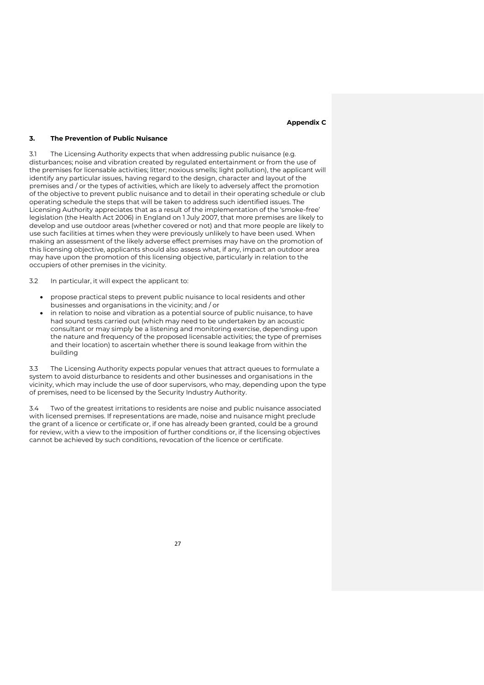#### **Appendix C**

### **3. The Prevention of Public Nuisance**

3.1 The Licensing Authority expects that when addressing public nuisance (e.g. disturbances; noise and vibration created by regulated entertainment or from the use of the premises for licensable activities; litter; noxious smells; light pollution), the applicant will identify any particular issues, having regard to the design, character and layout of the premises and / or the types of activities, which are likely to adversely affect the promotion of the objective to prevent public nuisance and to detail in their operating schedule or club operating schedule the steps that will be taken to address such identified issues. The Licensing Authority appreciates that as a result of the implementation of the 'smoke-free' legislation (the Health Act 2006) in England on 1 July 2007, that more premises are likely to develop and use outdoor areas (whether covered or not) and that more people are likely to use such facilities at times when they were previously unlikely to have been used. When making an assessment of the likely adverse effect premises may have on the promotion of this licensing objective, applicants should also assess what, if any, impact an outdoor area may have upon the promotion of this licensing objective, particularly in relation to the occupiers of other premises in the vicinity.

3.2 In particular, it will expect the applicant to:

- propose practical steps to prevent public nuisance to local residents and other businesses and organisations in the vicinity; and / or
- in relation to noise and vibration as a potential source of public nuisance, to have had sound tests carried out (which may need to be undertaken by an acoustic consultant or may simply be a listening and monitoring exercise, depending upon the nature and frequency of the proposed licensable activities; the type of premises and their location) to ascertain whether there is sound leakage from within the building

3.3 The Licensing Authority expects popular venues that attract queues to formulate a system to avoid disturbance to residents and other businesses and organisations in the vicinity, which may include the use of door supervisors, who may, depending upon the type of premises, need to be licensed by the Security Industry Authority.

3.4 Two of the greatest irritations to residents are noise and public nuisance associated with licensed premises. If representations are made, noise and nuisance might preclude the grant of a licence or certificate or, if one has already been granted, could be a ground for review, with a view to the imposition of further conditions or, if the licensing objectives cannot be achieved by such conditions, revocation of the licence or certificate.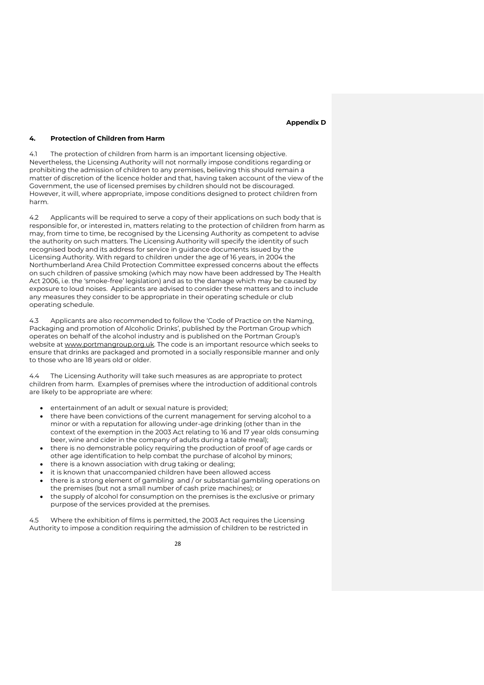#### **Appendix D**

### **4. Protection of Children from Harm**

4.1 The protection of children from harm is an important licensing objective. Nevertheless, the Licensing Authority will not normally impose conditions regarding or prohibiting the admission of children to any premises, believing this should remain a matter of discretion of the licence holder and that, having taken account of the view of the Government, the use of licensed premises by children should not be discouraged. However, it will, where appropriate, impose conditions designed to protect children from harm.

4.2 Applicants will be required to serve a copy of their applications on such body that is responsible for, or interested in, matters relating to the protection of children from harm as may, from time to time, be recognised by the Licensing Authority as competent to advise the authority on such matters. The Licensing Authority will specify the identity of such recognised body and its address for service in guidance documents issued by the Licensing Authority. With regard to children under the age of 16 years, in 2004 the Northumberland Area Child Protection Committee expressed concerns about the effects on such children of passive smoking (which may now have been addressed by The Health Act 2006, i.e. the 'smoke-free' legislation) and as to the damage which may be caused by exposure to loud noises. Applicants are advised to consider these matters and to include any measures they consider to be appropriate in their operating schedule or club operating schedule.

4.3 Applicants are also recommended to follow the 'Code of Practice on the Naming, Packaging and promotion of Alcoholic Drinks', published by the Portman Group which operates on behalf of the alcohol industry and is published on the Portman Group's website at www.portmangroup.org.uk. The code is an important resource which seeks to ensure that drinks are packaged and promoted in a socially responsible manner and only to those who are 18 years old or older.

4.4 The Licensing Authority will take such measures as are appropriate to protect children from harm. Examples of premises where the introduction of additional controls are likely to be appropriate are where:

- entertainment of an adult or sexual nature is provided;
- there have been convictions of the current management for serving alcohol to a minor or with a reputation for allowing under-age drinking (other than in the context of the exemption in the 2003 Act relating to 16 and 17 year olds consuming beer, wine and cider in the company of adults during a table meal);
- there is no demonstrable policy requiring the production of proof of age cards or other age identification to help combat the purchase of alcohol by minors;
- there is a known association with drug taking or dealing;
- it is known that unaccompanied children have been allowed access
- there is a strong element of gambling and / or substantial gambling operations on the premises (but not a small number of cash prize machines); or
- the supply of alcohol for consumption on the premises is the exclusive or primary purpose of the services provided at the premises.

4.5 Where the exhibition of films is permitted, the 2003 Act requires the Licensing Authority to impose a condition requiring the admission of children to be restricted in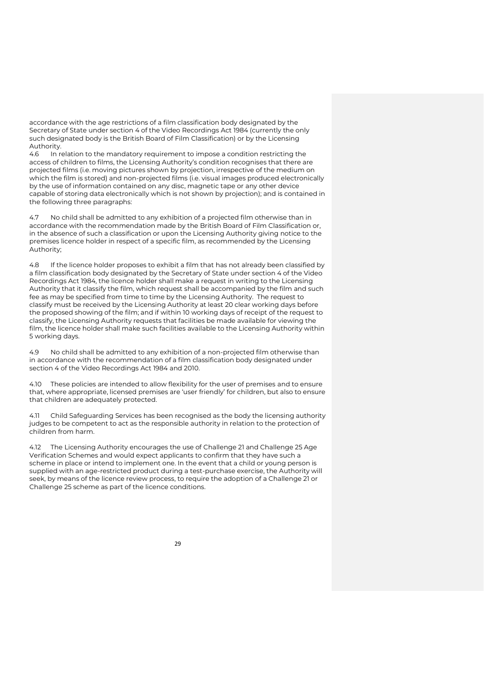accordance with the age restrictions of a film classification body designated by the Secretary of State under section 4 of the Video Recordings Act 1984 (currently the only such designated body is the British Board of Film Classification) or by the Licensing Authority.

4.6 In relation to the mandatory requirement to impose a condition restricting the access of children to films, the Licensing Authority's condition recognises that there are projected films (i.e. moving pictures shown by projection, irrespective of the medium on which the film is stored) and non-projected films (i.e. visual images produced electronically by the use of information contained on any disc, magnetic tape or any other device capable of storing data electronically which is not shown by projection); and is contained in the following three paragraphs:

4.7 No child shall be admitted to any exhibition of a projected film otherwise than in accordance with the recommendation made by the British Board of Film Classification or, in the absence of such a classification or upon the Licensing Authority giving notice to the premises licence holder in respect of a specific film, as recommended by the Licensing Authority;

4.8 If the licence holder proposes to exhibit a film that has not already been classified by a film classification body designated by the Secretary of State under section 4 of the Video Recordings Act 1984, the licence holder shall make a request in writing to the Licensing Authority that it classify the film, which request shall be accompanied by the film and such fee as may be specified from time to time by the Licensing Authority. The request to classify must be received by the Licensing Authority at least 20 clear working days before the proposed showing of the film; and if within 10 working days of receipt of the request to classify, the Licensing Authority requests that facilities be made available for viewing the film, the licence holder shall make such facilities available to the Licensing Authority within 5 working days.

4.9 No child shall be admitted to any exhibition of a non-projected film otherwise than in accordance with the recommendation of a film classification body designated under section 4 of the Video Recordings Act 1984 and 2010.

4.10 These policies are intended to allow flexibility for the user of premises and to ensure that, where appropriate, licensed premises are 'user friendly' for children, but also to ensure that children are adequately protected.

4.11 Child Safeguarding Services has been recognised as the body the licensing authority judges to be competent to act as the responsible authority in relation to the protection of children from harm.

4.12 The Licensing Authority encourages the use of Challenge 21 and Challenge 25 Age Verification Schemes and would expect applicants to confirm that they have such a scheme in place or intend to implement one. In the event that a child or young person is supplied with an age-restricted product during a test-purchase exercise, the Authority will seek, by means of the licence review process, to require the adoption of a Challenge 21 or Challenge 25 scheme as part of the licence conditions.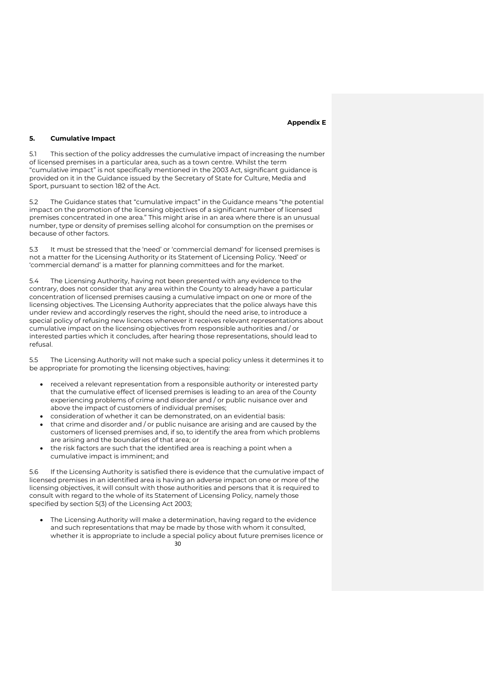#### **Appendix E**

### **5. Cumulative Impact**

5.1 This section of the policy addresses the cumulative impact of increasing the number of licensed premises in a particular area, such as a town centre. Whilst the term "cumulative impact" is not specifically mentioned in the 2003 Act, significant guidance is provided on it in the Guidance issued by the Secretary of State for Culture, Media and Sport, pursuant to section 182 of the Act.

5.2 The Guidance states that "cumulative impact" in the Guidance means "the potential impact on the promotion of the licensing objectives of a significant number of licensed premises concentrated in one area." This might arise in an area where there is an unusual number, type or density of premises selling alcohol for consumption on the premises or because of other factors.

5.3 It must be stressed that the 'need' or 'commercial demand' for licensed premises is not a matter for the Licensing Authority or its Statement of Licensing Policy. 'Need' or 'commercial demand' is a matter for planning committees and for the market.

5.4 The Licensing Authority, having not been presented with any evidence to the contrary, does not consider that any area within the County to already have a particular concentration of licensed premises causing a cumulative impact on one or more of the licensing objectives. The Licensing Authority appreciates that the police always have this under review and accordingly reserves the right, should the need arise, to introduce a special policy of refusing new licences whenever it receives relevant representations about cumulative impact on the licensing objectives from responsible authorities and / or interested parties which it concludes, after hearing those representations, should lead to refusal.

5.5 The Licensing Authority will not make such a special policy unless it determines it to be appropriate for promoting the licensing objectives, having:

- received a relevant representation from a responsible authority or interested party that the cumulative effect of licensed premises is leading to an area of the County experiencing problems of crime and disorder and / or public nuisance over and above the impact of customers of individual premises;
- consideration of whether it can be demonstrated, on an evidential basis:
- that crime and disorder and / or public nuisance are arising and are caused by the customers of licensed premises and, if so, to identify the area from which problems are arising and the boundaries of that area; or
- the risk factors are such that the identified area is reaching a point when a cumulative impact is imminent; and

5.6 If the Licensing Authority is satisfied there is evidence that the cumulative impact of licensed premises in an identified area is having an adverse impact on one or more of the licensing objectives, it will consult with those authorities and persons that it is required to consult with regard to the whole of its Statement of Licensing Policy, namely those specified by section 5(3) of the Licensing Act 2003;

30 The Licensing Authority will make a determination, having regard to the evidence and such representations that may be made by those with whom it consulted, whether it is appropriate to include a special policy about future premises licence or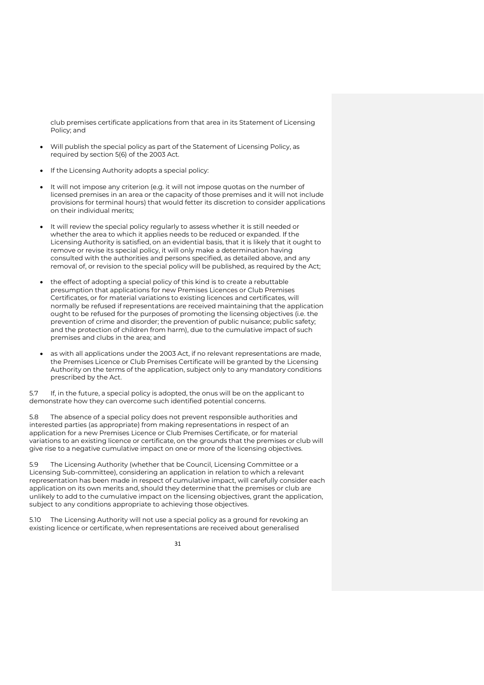club premises certificate applications from that area in its Statement of Licensing Policy; and

- Will publish the special policy as part of the Statement of Licensing Policy, as required by section 5(6) of the 2003 Act.
- If the Licensing Authority adopts a special policy:
- It will not impose any criterion (e.g. it will not impose quotas on the number of licensed premises in an area or the capacity of those premises and it will not include provisions for terminal hours) that would fetter its discretion to consider applications on their individual merits;
- It will review the special policy regularly to assess whether it is still needed or whether the area to which it applies needs to be reduced or expanded. If the Licensing Authority is satisfied, on an evidential basis, that it is likely that it ought to remove or revise its special policy, it will only make a determination having consulted with the authorities and persons specified, as detailed above, and any removal of, or revision to the special policy will be published, as required by the Act;
- the effect of adopting a special policy of this kind is to create a rebuttable presumption that applications for new Premises Licences or Club Premises Certificates, or for material variations to existing licences and certificates, will normally be refused if representations are received maintaining that the application ought to be refused for the purposes of promoting the licensing objectives (i.e. the prevention of crime and disorder; the prevention of public nuisance; public safety; and the protection of children from harm), due to the cumulative impact of such premises and clubs in the area; and
- as with all applications under the 2003 Act, if no relevant representations are made, the Premises Licence or Club Premises Certificate will be granted by the Licensing Authority on the terms of the application, subject only to any mandatory conditions prescribed by the Act.

5.7 If, in the future, a special policy is adopted, the onus will be on the applicant to demonstrate how they can overcome such identified potential concerns.

5.8 The absence of a special policy does not prevent responsible authorities and interested parties (as appropriate) from making representations in respect of an application for a new Premises Licence or Club Premises Certificate, or for material variations to an existing licence or certificate, on the grounds that the premises or club will give rise to a negative cumulative impact on one or more of the licensing objectives.

5.9 The Licensing Authority (whether that be Council, Licensing Committee or a Licensing Sub-committee), considering an application in relation to which a relevant representation has been made in respect of cumulative impact, will carefully consider each application on its own merits and, should they determine that the premises or club are unlikely to add to the cumulative impact on the licensing objectives, grant the application, subject to any conditions appropriate to achieving those objectives.

5.10 The Licensing Authority will not use a special policy as a ground for revoking an existing licence or certificate, when representations are received about generalised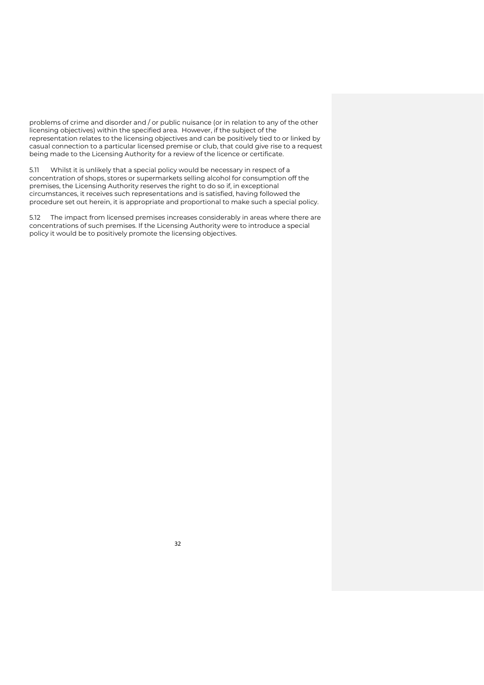problems of crime and disorder and / or public nuisance (or in relation to any of the other licensing objectives) within the specified area. However, if the subject of the representation relates to the licensing objectives and can be positively tied to or linked by casual connection to a particular licensed premise or club, that could give rise to a request being made to the Licensing Authority for a review of the licence or certificate.

5.11 Whilst it is unlikely that a special policy would be necessary in respect of a concentration of shops, stores or supermarkets selling alcohol for consumption off the premises, the Licensing Authority reserves the right to do so if, in exceptional circumstances, it receives such representations and is satisfied, having followed the procedure set out herein, it is appropriate and proportional to make such a special policy.

5.12 The impact from licensed premises increases considerably in areas where there are concentrations of such premises. If the Licensing Authority were to introduce a special policy it would be to positively promote the licensing objectives.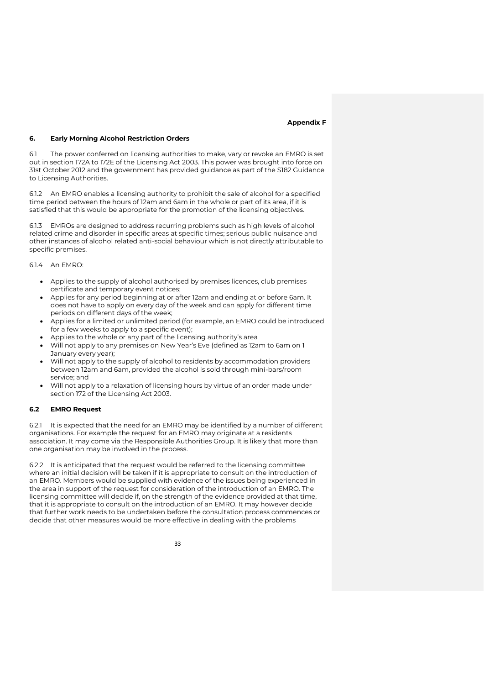#### **Appendix F**

#### **6. Early Morning Alcohol Restriction Orders**

6.1 The power conferred on licensing authorities to make, vary or revoke an EMRO is set out in section 172A to 172E of the Licensing Act 2003. This power was brought into force on 31st October 2012 and the government has provided guidance as part of the S182 Guidance to Licensing Authorities.

6.1.2 An EMRO enables a licensing authority to prohibit the sale of alcohol for a specified time period between the hours of 12am and 6am in the whole or part of its area, if it is satisfied that this would be appropriate for the promotion of the licensing objectives.

6.1.3 EMROs are designed to address recurring problems such as high levels of alcohol related crime and disorder in specific areas at specific times; serious public nuisance and other instances of alcohol related anti-social behaviour which is not directly attributable to specific premises.

#### 6.1.4 An EMRO:

- Applies to the supply of alcohol authorised by premises licences, club premises certificate and temporary event notices;
- Applies for any period beginning at or after 12am and ending at or before 6am. It does not have to apply on every day of the week and can apply for different time periods on different days of the week;
- Applies for a limited or unlimited period (for example, an EMRO could be introduced for a few weeks to apply to a specific event);
- Applies to the whole or any part of the licensing authority's area
- Will not apply to any premises on New Year's Eve (defined as 12am to 6am on 1 January every year);
- Will not apply to the supply of alcohol to residents by accommodation providers between 12am and 6am, provided the alcohol is sold through mini-bars/room service; and
- Will not apply to a relaxation of licensing hours by virtue of an order made under section 172 of the Licensing Act 2003.

#### **6.2 EMRO Request**

6.2.1 It is expected that the need for an EMRO may be identified by a number of different organisations. For example the request for an EMRO may originate at a residents association. It may come via the Responsible Authorities Group. It is likely that more than one organisation may be involved in the process.

6.2.2 It is anticipated that the request would be referred to the licensing committee where an initial decision will be taken if it is appropriate to consult on the introduction of an EMRO. Members would be supplied with evidence of the issues being experienced in the area in support of the request for consideration of the introduction of an EMRO. The licensing committee will decide if, on the strength of the evidence provided at that time, that it is appropriate to consult on the introduction of an EMRO. It may however decide that further work needs to be undertaken before the consultation process commences or decide that other measures would be more effective in dealing with the problems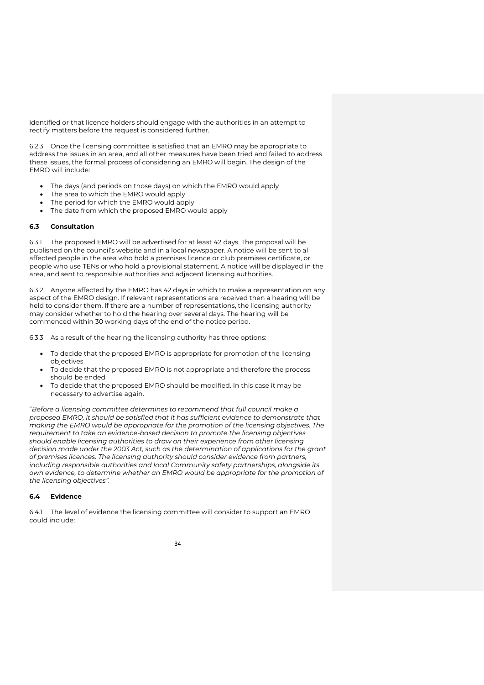identified or that licence holders should engage with the authorities in an attempt to rectify matters before the request is considered further.

6.2.3 Once the licensing committee is satisfied that an EMRO may be appropriate to address the issues in an area, and all other measures have been tried and failed to address these issues, the formal process of considering an EMRO will begin. The design of the EMRO will include:

- The days (and periods on those days) on which the EMRO would apply
- The area to which the EMRO would apply
- The period for which the EMRO would apply
- The date from which the proposed EMRO would apply

# **6.3 Consultation**

6.3.1 The proposed EMRO will be advertised for at least 42 days. The proposal will be published on the council's website and in a local newspaper. A notice will be sent to all affected people in the area who hold a premises licence or club premises certificate, or people who use TENs or who hold a provisional statement. A notice will be displayed in the area, and sent to responsible authorities and adjacent licensing authorities.

6.3.2 Anyone affected by the EMRO has 42 days in which to make a representation on any aspect of the EMRO design. If relevant representations are received then a hearing will be held to consider them. If there are a number of representations, the licensing authority may consider whether to hold the hearing over several days. The hearing will be commenced within 30 working days of the end of the notice period.

6.3.3 As a result of the hearing the licensing authority has three options:

- To decide that the proposed EMRO is appropriate for promotion of the licensing objectives
- To decide that the proposed EMRO is not appropriate and therefore the process should be ended
- To decide that the proposed EMRO should be modified. In this case it may be necessary to advertise again.

"*Before a licensing committee determines to recommend that full council make a proposed EMRO, it should be satisfied that it has sufficient evidence to demonstrate that making the EMRO would be appropriate for the promotion of the licensing objectives. The requirement to take an evidence-based decision to promote the licensing objectives should enable licensing authorities to draw on their experience from other licensing decision made under the 2003 Act, such as the determination of applications for the grant of premises licences. The licensing authority should consider evidence from partners, including responsible authorities and local Community safety partnerships, alongside its own evidence, to determine whether an EMRO would be appropriate for the promotion of the licensing objectives".* 

#### **6.4 Evidence**

6.4.1 The level of evidence the licensing committee will consider to support an EMRO could include: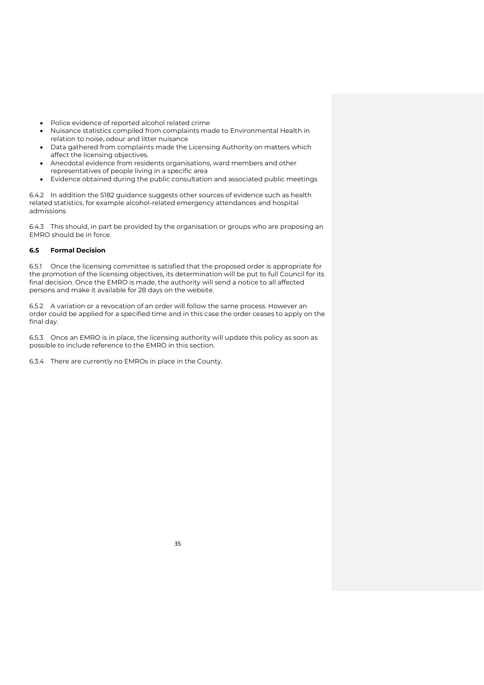- Police evidence of reported alcohol related crime
- Nuisance statistics compiled from complaints made to Environmental Health in relation to noise, odour and litter nuisance
- Data gathered from complaints made the Licensing Authority on matters which affect the licensing objectives.
- Anecdotal evidence from residents organisations, ward members and other representatives of people living in a specific area
- Evidence obtained during the public consultation and associated public meetings

6.4.2 In addition the S182 guidance suggests other sources of evidence such as health related statistics, for example alcohol-related emergency attendances and hospital admissions

6.4.3 This should, in part be provided by the organisation or groups who are proposing an EMRO should be in force.

# **6.5 Formal Decision**

6.5.1 Once the licensing committee is satisfied that the proposed order is appropriate for the promotion of the licensing objectives, its determination will be put to full Council for its final decision. Once the EMRO is made, the authority will send a notice to all affected persons and make it available for 28 days on the website.

6.5.2 A variation or a revocation of an order will follow the same process. However an order could be applied for a specified time and in this case the order ceases to apply on the final day.

6.5.3 Once an EMRO is in place, the licensing authority will update this policy as soon as possible to include reference to the EMRO in this section.

6.3.4 There are currently no EMROs in place in the County.

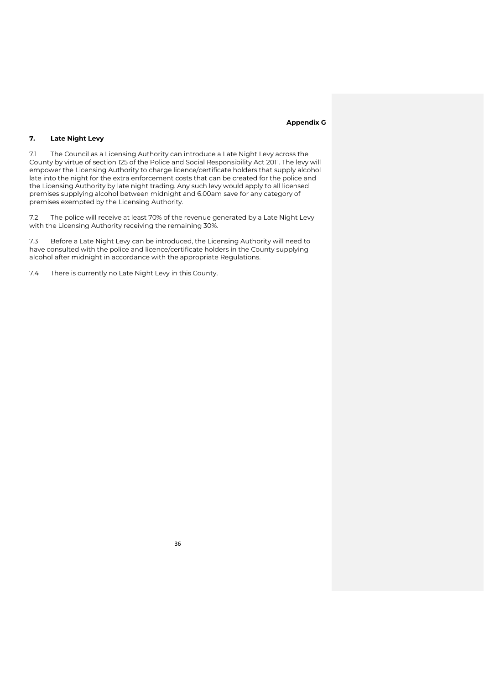#### **Appendix G**

# **7. Late Night Levy**

7.1 The Council as a Licensing Authority can introduce a Late Night Levy across the County by virtue of section 125 of the Police and Social Responsibility Act 2011. The levy will empower the Licensing Authority to charge licence/certificate holders that supply alcohol late into the night for the extra enforcement costs that can be created for the police and the Licensing Authority by late night trading. Any such levy would apply to all licensed premises supplying alcohol between midnight and 6.00am save for any category of premises exempted by the Licensing Authority.

7.2 The police will receive at least 70% of the revenue generated by a Late Night Levy with the Licensing Authority receiving the remaining 30%.

7.3 Before a Late Night Levy can be introduced, the Licensing Authority will need to have consulted with the police and licence/certificate holders in the County supplying alcohol after midnight in accordance with the appropriate Regulations.

7.4 There is currently no Late Night Levy in this County.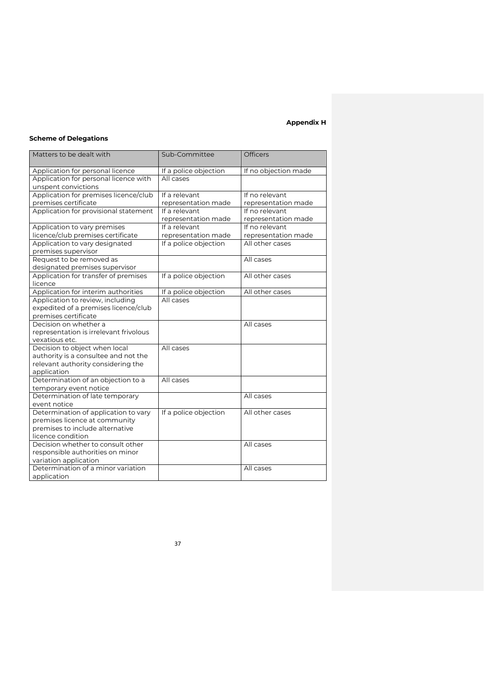# **Appendix H**

# **Scheme of Delegations**

| Matters to be dealt with                          | Sub-Committee         | <b>Officers</b>      |
|---------------------------------------------------|-----------------------|----------------------|
| Application for personal licence                  | If a police objection | If no objection made |
| Application for personal licence with             | All cases             |                      |
| unspent convictions                               |                       |                      |
| Application for premises licence/club             | If a relevant         | If no relevant       |
| premises certificate                              | representation made   | representation made  |
| Application for provisional statement             | If a relevant         | If no relevant       |
|                                                   | representation made   | representation made  |
| Application to vary premises                      | If a relevant         | If no relevant       |
| licence/club premises certificate                 | representation made   | representation made  |
| Application to vary designated                    | If a police objection | All other cases      |
| premises supervisor                               |                       |                      |
| Request to be removed as                          |                       | All cases            |
| designated premises supervisor                    |                       |                      |
| Application for transfer of premises<br>licence   | If a police objection | All other cases      |
| Application for interim authorities               | If a police objection | All other cases      |
| Application to review, including                  | All cases             |                      |
| expedited of a premises licence/club              |                       |                      |
| premises certificate                              |                       |                      |
| Decision on whether a                             |                       | All cases            |
| representation is irrelevant frivolous            |                       |                      |
| vexatious etc.                                    |                       |                      |
| Decision to object when local                     | All cases             |                      |
| authority is a consultee and not the              |                       |                      |
| relevant authority considering the                |                       |                      |
| application<br>Determination of an objection to a | All cases             |                      |
| temporary event notice                            |                       |                      |
| Determination of late temporary                   |                       | All cases            |
| event notice                                      |                       |                      |
| Determination of application to vary              | If a police objection | All other cases      |
| premises licence at community                     |                       |                      |
| premises to include alternative                   |                       |                      |
| licence condition                                 |                       |                      |
| Decision whether to consult other                 |                       | All cases            |
| responsible authorities on minor                  |                       |                      |
| variation application                             |                       |                      |
| Determination of a minor variation                |                       | All cases            |
| application                                       |                       |                      |